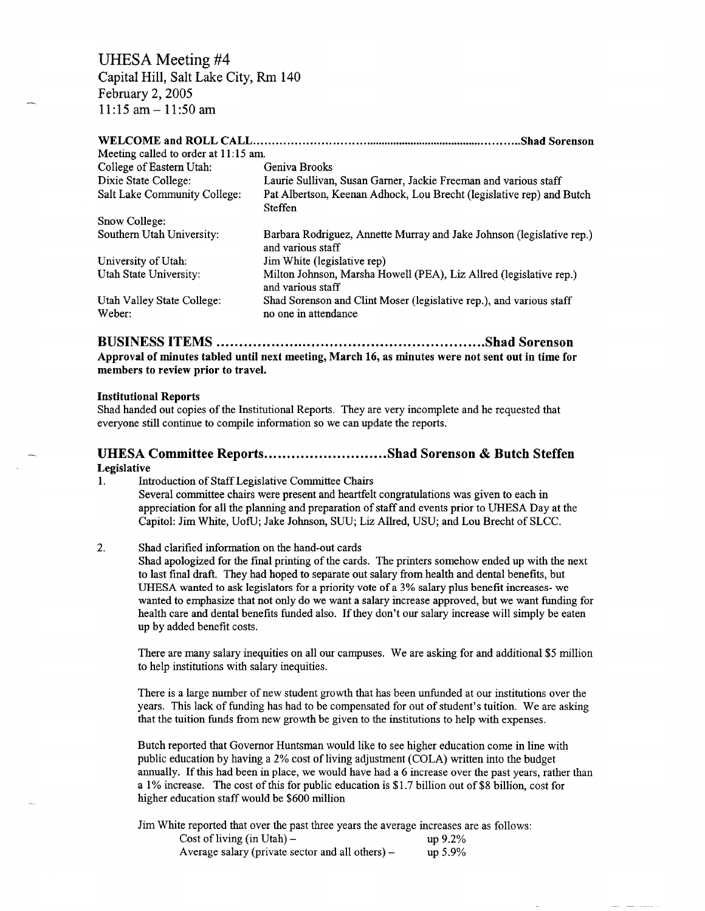# UHESA Meeting #4

Capital Hill, Salt Lake City, Rm 140 February 2, 2005 11:15 am-11:50 am

# **WELCOME and ROLL CALL Shad Sorenson**

| Meeting called to order at 11:15 am. |                                                                                            |
|--------------------------------------|--------------------------------------------------------------------------------------------|
| College of Eastern Utah:             | Geniva Brooks                                                                              |
| Dixie State College:                 | Laurie Sullivan, Susan Garner, Jackie Freeman and various staff                            |
| Salt Lake Community College:         | Pat Albertson, Keenan Adhock, Lou Brecht (legislative rep) and Butch<br>Steffen            |
| Snow College:                        |                                                                                            |
| Southern Utah University:            | Barbara Rodriguez, Annette Murray and Jake Johnson (legislative rep.)<br>and various staff |
| University of Utah:                  | Jim White (legislative rep)                                                                |
| Utah State University:               | Milton Johnson, Marsha Howell (PEA), Liz Allred (legislative rep.)<br>and various staff    |
| Utah Valley State College:           | Shad Sorenson and Clint Moser (legislative rep.), and various staff                        |
| Weber:                               | no one in attendance                                                                       |

#### **BUSINESS ITEMS Shad Sorenson**

**Approval of minutes tabled until next meeting, March 16, as minutes were not sent out in time for members to review prior to travel.**

#### **Institutional Reports**

Shad handed out copies of the Institutional Reports. They are very incomplete and he requested that everyone still continue to compile information so we can update the reports.

## **UHESA Committee Reports..........................Shad Sorenson & Butch Steffen Legislative**

1. Introduction of Staff Legislative Committee Chairs Several committee chairs were present and heartfelt congratulations was given to each in appreciation for all the planning and preparation of staff and events prior to UHESA Day at the Capitol: Jim White, UofU; Jake Johnson, SUU; Liz Allred, USU; and Lou Brecht of SLCC.

### 2. Shad clarified information on the hand-out cards

Shad apologized for the final printing of the cards. The printers somehow ended up with the next to last final draft. They had hoped to separate out salary from health and dental benefits, but UHESA wanted to ask legislators for a priority vote of a 3% salary plus benefit increases- we wanted to emphasize that not only do we want a salary increase approved, but we want funding for health care and dental benefits funded also. If they don't our salary increase will simply be eaten up by added benefit costs.

There are many salary inequities on all our campuses. We are asking for and additional \$5 million to help institutions with salary inequities.

There is a large number of new student growth that has been unfunded at our institutions over the years. This lack of funding has had to be compensated for out of student's tuition. We are asking that the tuition funds from new growth be given to the institutions to help with expenses.

Butch reported that Governor Huntsman would like to see higher education come in line with public education by having a 2% cost of living adjustment (COLA) written into the budget annually. If this had been in place, we would have had a 6 increase over the past years, rather than a 1% increase. The cost of this for public education is \$1.7 billion out of \$8 billion, cost for higher education staff would be \$600 million

Jim White reported that over the past three years the average increases are as follows: Cost of living  $(in Utah)$  - up  $9.2\%$ Average salary (private sector and all others)  $-$  up 5.9%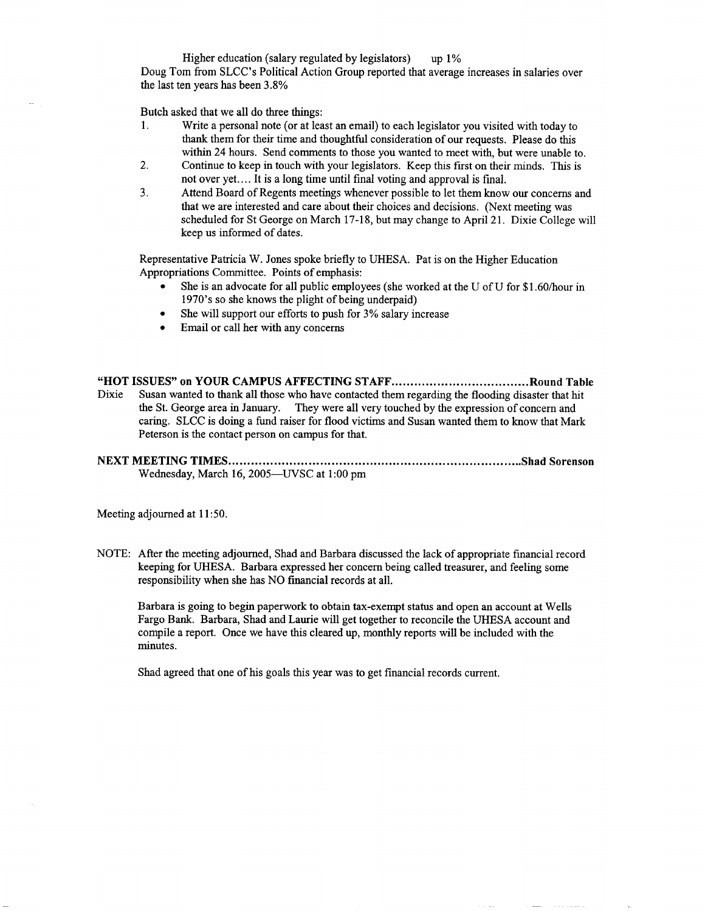Higher education (salary regulated by legislators) up 1% Doug Tom from SLCC's Political Action Group reported that average increases in salaries over the last ten years has been 3.8%

Butch asked that we all do three things:

- 1. Write a personal note (or at least an email) to each legislator you visited with today to thank them for their time and thoughtful consideration of our requests. Please do this within 24 hours. Send comments to those you wanted to meet with, but were unable to.
- 2. Continue to keep in touch with your legislators. Keep this first on their minds. This is not over yet.... It is a long time until final voting and approval is final.
- 3. Attend Board of Regents meetings whenever possible to let them know our concerns and that we are interested and care about their choices and decisions. (Next meeting was scheduled for St George on March 17-18, but may change to April 21. Dixie College will keep us informed of dates.

Representative Patricia W. Jones spoke briefly to UHESA. Pat is on the Higher Education Appropriations Committee. Points of emphasis:

- She is an advocate for all public employees (she worked at the U of U for \$1.60/hour in 1970's so she knows the plight of being underpaid)
- She will support our efforts to push for 3% salary increase
- Email or call her with any concerns

"HOT ISSUES" on YOUR CAMPUS AFFECTING STAFF..................................Round Table Dixie Susan wanted to thank all those who have contacted them regarding the flooding disaster that hit the St. George area in January. They were all very touched by the expression of concern and caring. SLCC is doing a fund raiser for flood victims and Susan wanted them to know that Mark Peterson is the contact person on campus for that.

NEXT MEETING TIMES Shad Sorenson Wednesday, March 16, 2005—UVSC at 1:00 pm

Meeting adjourned at 11:50.

NOTE: After the meeting adjourned, Shad and Barbara discussed the lack of appropriate financial record keeping for UHESA. Barbara expressed her concern being called treasurer, and feeling some responsibility when she has NO financial records at all.

Barbara is going to begin paperwork to obtain tax-exempt status and open an account at Wells Fargo Bank. Barbara, Shad and Laurie will get together to reconcile the UHESA account and compile a report. Once we have this cleared up, monthly reports will be included with the minutes.

Shad agreed that one of his goals this year was to get financial records current.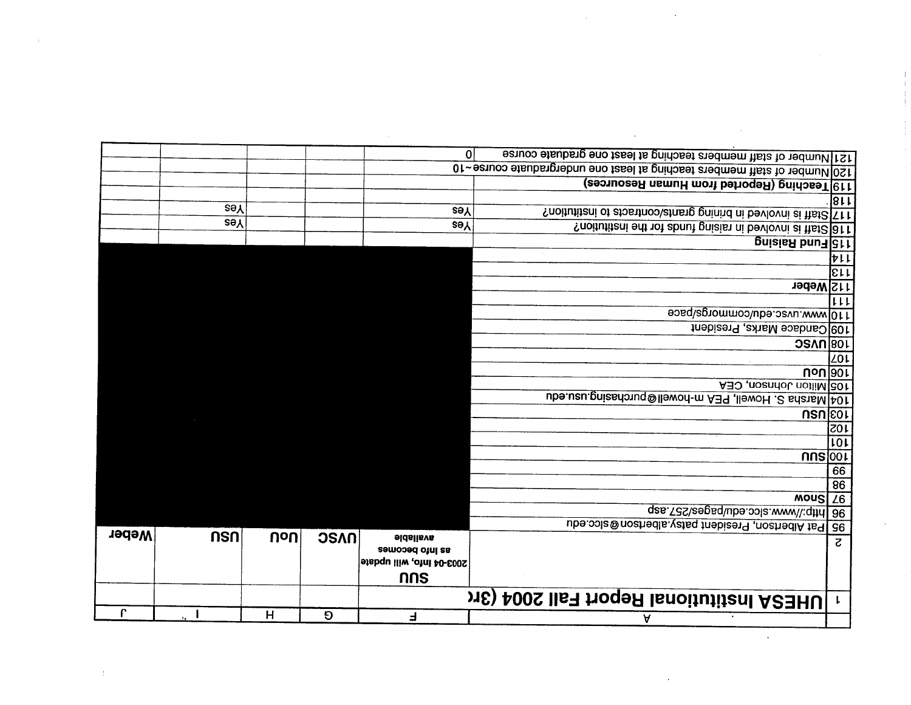| $\mathbf{r}$ |            | н        | Ð           | $\overline{ }$                      | v                                                                                                                                               |                |
|--------------|------------|----------|-------------|-------------------------------------|-------------------------------------------------------------------------------------------------------------------------------------------------|----------------|
|              |            |          |             |                                     | UHESA Institutional Report Fall 2004 (3rd                                                                                                       | $\mathbf{L}$   |
|              |            |          |             | nns                                 |                                                                                                                                                 |                |
|              |            |          |             | 2003-04 info, will update           |                                                                                                                                                 |                |
|              | nsn        | $ U_0U $ | <b>OSAN</b> | <b>eldslisvs</b><br>as info becomes |                                                                                                                                                 | $\overline{c}$ |
| <b>Weber</b> |            |          |             |                                     | 95 Pat Albertoon, President patsy albertoon@slcc.edu                                                                                            |                |
|              |            |          |             |                                     | gas. T3S\eegsq\ube.opla.www\\;qthd 8e                                                                                                           |                |
|              |            |          |             |                                     | MOUS Z6                                                                                                                                         |                |
|              |            |          |             |                                     |                                                                                                                                                 | 86             |
|              |            |          |             |                                     |                                                                                                                                                 | 66             |
|              |            |          |             |                                     | nns 001                                                                                                                                         |                |
|              |            |          |             |                                     |                                                                                                                                                 | 101            |
|              |            |          |             |                                     |                                                                                                                                                 | 105            |
|              |            |          |             |                                     |                                                                                                                                                 | USU[CO]        |
|              |            |          |             |                                     | A30 , noandol, notilM 301<br>104 Marsha S. Howell, PEA m-howell@purchasing.usu.edu                                                              |                |
|              |            |          |             |                                     |                                                                                                                                                 | <b>Uoulour</b> |
|              |            |          |             |                                     |                                                                                                                                                 | <b>ZO1</b>     |
|              |            |          |             |                                     | <b>JOB</b> UVSC                                                                                                                                 |                |
|              |            |          |             |                                     | 109 Candace Marks, President                                                                                                                    |                |
|              |            |          |             |                                     | 110 www.uvsc.edu/commorgs/pace                                                                                                                  |                |
|              |            |          |             |                                     |                                                                                                                                                 | 111            |
|              |            |          |             |                                     | 112 Weber                                                                                                                                       |                |
|              |            |          |             |                                     |                                                                                                                                                 | lειτ           |
|              |            |          |             |                                     |                                                                                                                                                 | けいし            |
|              |            |          |             |                                     | pniaisA bnu <sub>d</sub> at t                                                                                                                   |                |
|              | <b>Sey</b> |          |             | <b>Sey</b>                          | ? noitutitzni edt 10t zbnut gnizist ni bevlovni zi ttst2 81 t                                                                                   |                |
|              | <b>zey</b> |          |             | <b>Sey</b>                          | ? noitutitani ot abastrooolatnasg gninisd ni bevlovni ai that2 <a>[</a> Tt                                                                      |                |
|              |            |          |             |                                     |                                                                                                                                                 | 13 F F         |
|              |            |          |             |                                     | 119 Teaching (Reported from Human Resources)                                                                                                    |                |
|              |            |          |             | $\Omega$                            | 121 Number of staff members teaching at least one graduate course<br>120 Number of staff members teaching at least one undergraduate course ~10 |                |
|              |            |          |             |                                     |                                                                                                                                                 |                |

 $\hat{\mathcal{A}}$  .

 $\sim$ 

 $\hat{\boldsymbol{\gamma}}$ 

 $\sim$ 

 $\sim 10^{-1}$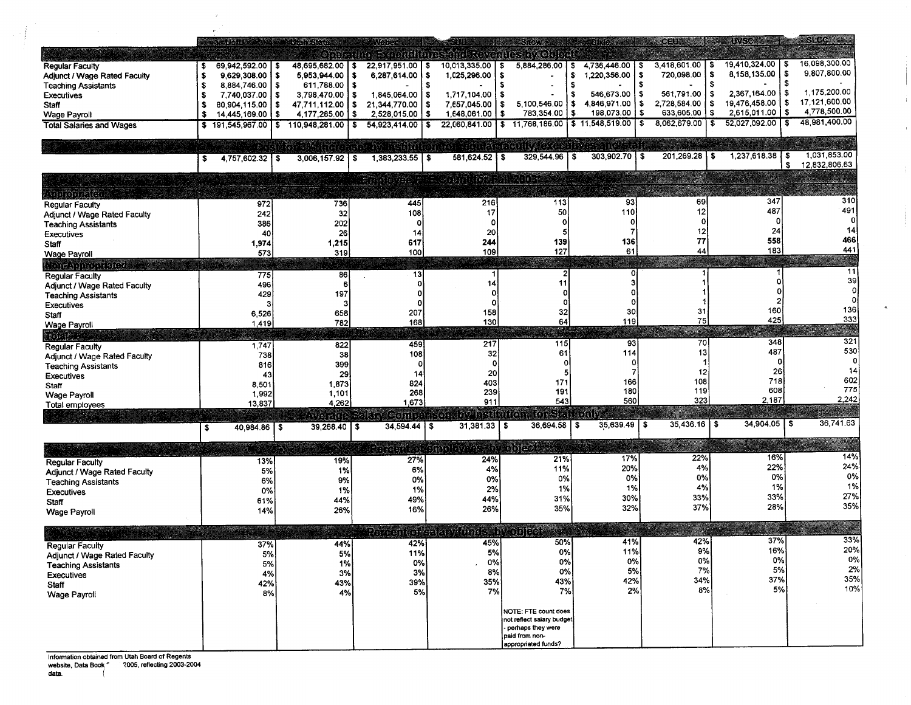|                                     | pri t                           | udkorib                | 310251                   |                                                         | SROW                                |                            | <b>CEUSIA</b>              | <b>ANG AREA</b>            | STRE                |
|-------------------------------------|---------------------------------|------------------------|--------------------------|---------------------------------------------------------|-------------------------------------|----------------------------|----------------------------|----------------------------|---------------------|
|                                     |                                 |                        |                          | Onamum Semilium and terantes by One of                  |                                     |                            |                            |                            |                     |
|                                     | 69,942,592.00   \$              | 48,695,682.00   \$     | 22,917,951.00 \$         | 10,013,335.00   \$                                      | 5,884,286.00<br>-\$                 | 4,736,446.00               | 3,418,601.00               | 19,410,324.00<br>- \$<br>s | 16,098,300.00       |
| Regular Faculty                     | -S<br>$9.629.308.00$   \$<br>-S | 5,953,944.00           | 6.287.614.00<br>s<br>l S | 1,025,296.00                                            | -\$                                 | 1,220,356.00<br>\$<br>- \$ | 720,098.00                 | 8.158.135.00<br>\$<br>l S  | 9,807,800.00        |
| Adjunct / Wage Rated Faculty        |                                 |                        |                          |                                                         | £.                                  |                            |                            | \$                         |                     |
| <b>Teaching Assistants</b>          | 8,884,746.00   \$<br>-\$        | $611,788.00$   \$      |                          |                                                         |                                     | l S                        |                            | 2,367,164.00<br>- \$       | 1,175,200.00        |
| <b>Executives</b>                   | 7.740.037.00 \$<br>-\$          | $3,798,470.00$   \$    | 1,845,064.00<br>- \$     | 1,717,104.00                                            | £.<br>-S                            | 546,673.00                 | 561,791.00                 | ۱S<br>19.476.458.00        | 17,121,600.00<br>\$ |
| Staff                               | 80,904,115,00   \$<br>- \$      | 47,711,112.00<br>l \$  | 21,344,770.00            | 7,657,045.00                                            | 5,100,546.00<br>- \$                | $4,846,971.00$ \\$<br>΄\$  | 2,728,584.00               | i S                        | 4,778,500.00        |
| <b>Wage Payroll</b>                 | \$<br>$14,445,169.00$   \$      | 4,177,285.00   \$      | 2,528,015.00<br>l \$     | 1,648,061.00                                            | 783,354.00<br>- 5                   | 198,073.00<br>\$           | 633,605.00<br>l S<br>-\$   | 2,615,011.00               | \$                  |
| <b>Total Salaries and Wages</b>     | 191,545,967.00<br>\$            | 110,948,281.00<br>l \$ | 54,923,414.00<br>\$      |                                                         | 22,060,841.00 \$ 11,768,186.00      | \$11,548,519.00            | $8,062,679.00$ \ \$<br>-\$ | 52,027,092.00              | 48,981,400.00<br>S. |
|                                     |                                 |                        |                          |                                                         |                                     |                            |                            |                            |                     |
|                                     |                                 | - 2016년 2017년          |                          | iyataran iyo daga qoya da da da qabu yaqaan iyo         |                                     | <u> 110 - 21</u>           |                            |                            |                     |
|                                     | $4,757,602.32$ \ \$<br>s        | 3,006,157.92<br>l s    | $1.383.233.55$ \ \$      | $581,624.52$ \\$                                        | $329,544.96$ \ \$                   | $303,902.70$ \\$           | 201.269.28 \$              | 1,237,618.38               | 1,031,853.00        |
|                                     |                                 |                        |                          |                                                         |                                     |                            |                            |                            | 12,832,806.63<br>\$ |
|                                     |                                 |                        |                          |                                                         |                                     |                            |                            |                            |                     |
|                                     |                                 |                        |                          | Finnleyed F. F. Goundar, Fall 2003.                     |                                     |                            |                            |                            |                     |
| <u>LABBOOLAKA:</u>                  |                                 |                        |                          |                                                         |                                     |                            |                            |                            |                     |
| Regular Faculty                     | 972                             | 736                    | 445                      | 216                                                     | 113                                 | 93                         | 69                         | 347                        | 310                 |
| Adjunct / Wage Rated Faculty        | 242                             | 32                     | 108                      | 17                                                      | 50                                  | 110                        | 12                         | 487                        | 491                 |
|                                     | 386                             | 202                    | o                        |                                                         |                                     | 0                          |                            |                            | 0                   |
| <b>Teaching Assistants</b>          |                                 |                        | 14                       | 20                                                      |                                     |                            | 12                         | 24                         | 14                  |
| <b>Executives</b>                   | 40                              | 26                     |                          |                                                         |                                     | 136                        | 77                         | 558                        | 466                 |
| <b>Staff</b>                        | 1,974                           | 1,215                  | 617                      | 244                                                     | 139                                 |                            |                            | 183                        | 441                 |
| <b>Wage Payroll</b>                 | 573                             | 319                    | 100                      | 109                                                     | 127                                 | 61                         | 44                         |                            |                     |
| <b>Doraspoonence</b>                |                                 |                        |                          |                                                         |                                     |                            |                            |                            |                     |
| <b>Regular Faculty</b>              | 775                             | 86                     | 13                       |                                                         |                                     | Ω                          |                            |                            | 11                  |
| Adjunct / Wage Rated Faculty        | 496                             | £                      | Ω                        | 14                                                      | 11                                  |                            |                            |                            | 39                  |
| <b>Teaching Assistants</b>          | 429                             | 197                    |                          |                                                         |                                     |                            |                            |                            | οl                  |
|                                     |                                 | ÷                      | $\Omega$                 |                                                         |                                     |                            |                            |                            | οI                  |
| <b>Executives</b>                   |                                 |                        | 207                      | 158                                                     | 32                                  | 30                         | 31                         | 160                        | 136                 |
| Staff                               | 6,526                           | 658                    |                          |                                                         | 64                                  | 119                        | 75                         | 425                        | 333                 |
| Wage Payroll                        | 1,419                           | 782                    | 168                      | 130                                                     |                                     |                            |                            |                            |                     |
| a ayn e                             |                                 |                        |                          |                                                         |                                     |                            |                            |                            |                     |
| Regular Faculty                     | 1,747                           | 822                    | 459                      | 217                                                     | 115                                 | 93                         | 70                         | 348                        | 321                 |
| Adjunct / Wage Rated Faculty        | 738                             | 38                     | 108                      | 32                                                      | 61                                  | 114                        | 13                         | 487                        | 530                 |
| <b>Teaching Assistants</b>          | 816                             | 399                    | 0                        |                                                         |                                     | 0                          |                            |                            | 0                   |
| <b>Executives</b>                   | 43                              | 29                     | 14                       | 20                                                      |                                     |                            | 12                         | 26                         | 14                  |
|                                     | 8,501                           | 1,873                  | 824                      | 403                                                     | 171                                 | 166                        | 108                        | 718                        | 602                 |
| Staff                               |                                 | 1,101                  | 268                      | 239                                                     | 191                                 | 180                        | 119                        | 608                        | 775                 |
| Wage Payroll                        | 1,992                           |                        | 1,673                    | 911                                                     | 543                                 | 560                        | 323                        | 2,187                      | 2,242               |
| Total employees                     | 13,837                          | 4,262                  |                          |                                                         |                                     |                            |                            |                            |                     |
|                                     |                                 |                        |                          | Ava are Salay Comparison by histitution, for Staff only |                                     |                            |                            |                            |                     |
|                                     | $40,984.86$   \$<br>s           | $39,268.40$ \ \$       | $34,594.44$ \ \$         | $31,381.33$ $\frac{1}{9}$                               | $36,694.58$ \$                      | $35,639.49$ \ \$           | $35\,436.16$   \$          | 34,904.05   \$             | 36,741.63           |
|                                     |                                 |                        |                          |                                                         |                                     |                            |                            |                            |                     |
|                                     |                                 |                        |                          | Perion of anologies aby objects                         |                                     |                            |                            |                            |                     |
|                                     |                                 |                        |                          |                                                         |                                     |                            | 22%                        | 16%                        | 14%                 |
| <b>Regular Faculty</b>              | 13%                             | 19%                    | 27%                      | 24%                                                     | 21%                                 | 17%                        |                            | 22%                        | 24%                 |
| <b>Adjunct / Wage Rated Faculty</b> | 5%                              | 1%                     | 6%                       | 4%                                                      | 11%                                 | 20%                        | 4%                         |                            |                     |
| <b>Teaching Assistants</b>          | 6%                              | 9%                     | 0%                       | 0%                                                      | 0%                                  | 0%                         | 0%                         | 0%                         | 0%                  |
| <b>Executives</b>                   | 0%                              | 1%                     | 1%                       | 2%                                                      | 1%                                  | 1%                         | 4%                         | 1%                         | 1%                  |
| Staff                               | 61%                             | 44%                    | 49%                      | 44%                                                     | 31%                                 | 30%                        | 33%                        | 33%                        | 27%                 |
|                                     | 14%                             | 26%                    | 16%                      | 26%                                                     | 35%                                 | 32%                        | 37%                        | 28%                        | 35%                 |
| <b>Wage Payroll</b>                 |                                 |                        |                          |                                                         |                                     |                            |                            |                            |                     |
|                                     |                                 |                        |                          |                                                         |                                     |                            |                            |                            |                     |
|                                     |                                 |                        |                          | Pereented salanziunds, hy object                        |                                     |                            |                            |                            |                     |
| <b>Regular Faculty</b>              | 37%                             | 44%                    | 42%                      | 45% i                                                   | 50%                                 | 41%                        | 42%                        | 37%                        | 33%                 |
| Adjunct / Wage Rated Faculty        | 5%                              | 5%                     | 11%                      | 5%                                                      | 0%                                  | 11%                        | 9%                         | 16%                        | 20%                 |
| <b>Teaching Assistants</b>          | 5%                              | 1%                     | 0%                       | 0%                                                      | 0%                                  | 0%                         | 0%                         | 0%                         | 0%                  |
|                                     | 4%                              | 3%                     | 3%                       | 8%                                                      | 0%                                  | 5%                         | 7%                         | 5%                         | 2%                  |
| <b>Executives</b>                   |                                 | 43%                    | 39%                      | 35%                                                     | 43%                                 | 42%                        | 34%                        | 37%                        | 35%                 |
| Staff                               | 42%                             |                        |                          | 7%                                                      | 7%                                  | 2%                         | 8%                         | 5%                         | 10%                 |
| <b>Wage Payroll</b>                 | 8%                              | 4%                     | 5%                       |                                                         |                                     |                            |                            |                            |                     |
|                                     |                                 |                        |                          |                                                         |                                     |                            |                            |                            |                     |
|                                     |                                 |                        |                          |                                                         | NOTE: FTE count does                |                            |                            |                            |                     |
|                                     |                                 |                        |                          |                                                         | not reflect salary budget           |                            |                            |                            |                     |
|                                     |                                 |                        |                          |                                                         | perhaps they were<br>paid from non- |                            |                            |                            |                     |
|                                     |                                 |                        |                          |                                                         | appropriated funds?                 |                            |                            |                            |                     |
|                                     |                                 |                        |                          |                                                         |                                     |                            |                            |                            |                     |

 $\mathbf{1}$ 

 $\pm$ 

 $\tilde{\mathbf{a}}$ 

Information obtained from Utah Board of Regents<br>website, Data Book \* 2005, reflecting 2003-200

 $\bar{g}$